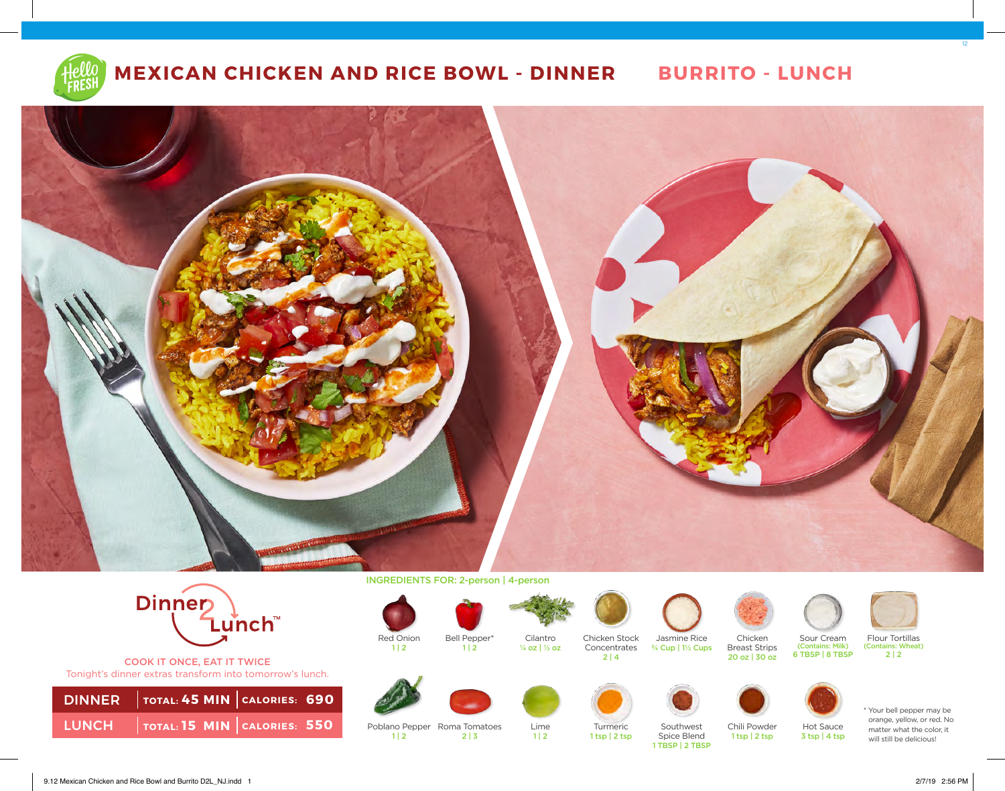





COOK IT ONCE, EAT IT TWICE Tonight's dinner extras transform into tomorrow's lunch.

| DINNER   TOTAL: 45 MIN   CALORIES: 690                   |  |
|----------------------------------------------------------|--|
| <b>LUNCH</b> $\vert$ TOTAL: 15 MIN $\vert$ CALORIES: 550 |  |

INGREDIENTS FOR: 2-person | 4-person



 $1 | 2$ 

 $1 | 2$ 



 $1 | 2$ 

Cilantro ¼ oz | ½ oz



2 | 3

Poblano Pepper Roma Tomatoes



Lime  $1 | 2$ 



Turmeric

 $2 | 4$ 

1 tsp | 2 tsp



Jasmine Rice ¾ Cup | 1½ Cups

Southwest Spice Blend 1 TBSP | 2 TBSP

Chicken Breast Strips 20 oz | 30 oz

Chili Powder 1 tsp | 2 tsp



Flour Tortillas<br>(Contains: Wheat)  $2 | 2$ 



Hot Sauce 3 tsp | 4 tsp



\* Your bell pepper may be orange, yellow, or red. No matter what the color, it will still be delicious!



12